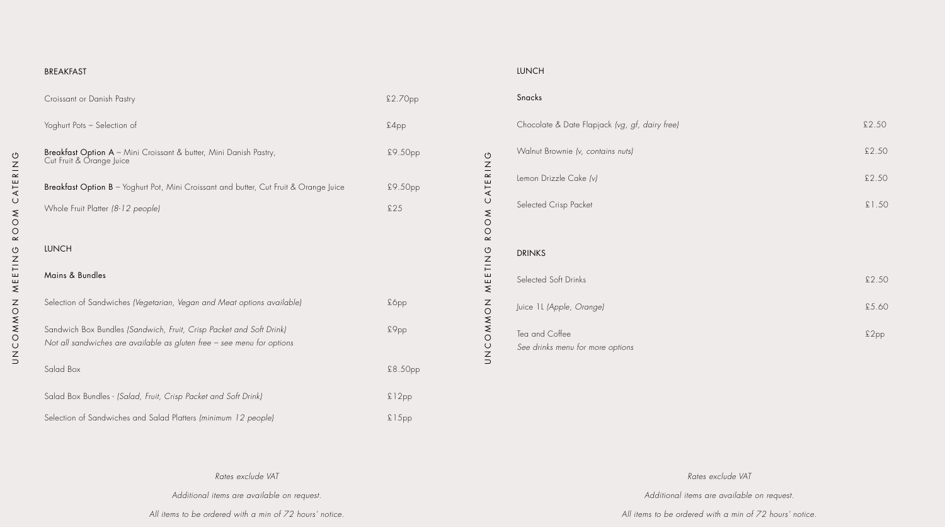| <b>BREAKFAST</b>                                                                                                                              |         |          | <b>LUNCH</b>                                       |        |
|-----------------------------------------------------------------------------------------------------------------------------------------------|---------|----------|----------------------------------------------------|--------|
| Croissant or Danish Pastry                                                                                                                    | £2.70pp |          | Snacks                                             |        |
| Yoghurt Pots - Selection of                                                                                                                   | £4pp    |          | Chocolate & Date Flapjack (vg, gf, dairy free)     | \$2.50 |
| Breakfast Option A - Mini Croissant & butter, Mini Danish Pastry,<br>Cut Fruit & Orange Juice                                                 | £9.50pp |          | Walnut Brownie (v, contains nuts)                  | \$2.50 |
| Breakfast Option B - Yoghurt Pot, Mini Croissant and butter, Cut Fruit & Orange Juice                                                         | £9.50pp | CATERING | Lemon Drizzle Cake (v)                             | \$2.50 |
| Whole Fruit Platter (8-12 people)                                                                                                             | \$25    |          | Selected Crisp Packet                              | £1.50  |
|                                                                                                                                               |         | ROOM     |                                                    |        |
| <b>LUNCH</b>                                                                                                                                  |         |          | <b>DRINKS</b>                                      |        |
| Mains & Bundles                                                                                                                               |         | MEETING  | Selected Soft Drinks                               | \$2.50 |
| Selection of Sandwiches (Vegetarian, Vegan and Meat options available)                                                                        | £6pp    |          | Juice 1L (Apple, Orange)                           | £5.60  |
| Sandwich Box Bundles (Sandwich, Fruit, Crisp Packet and Soft Drink)<br>Not all sandwiches are available as gluten free - see menu for options | £9pp    | ZOWNOUZD | Tea and Coffee<br>See drinks menu for more options | £2pp   |
| Salad Box                                                                                                                                     | £8.50pp |          |                                                    |        |
| Salad Box Bundles - (Salad, Fruit, Crisp Packet and Soft Drink)                                                                               | £12pp   |          |                                                    |        |
| Selection of Sandwiches and Salad Platters (minimum 12 people)                                                                                | £15pp   |          |                                                    |        |

*Rates exclude VAT*

*Additional items are available on request.*

*All items to be ordered with a min of 72 hours' notice.*

*Rates exclude VAT*

*Additional items are available on request.*

*All items to be ordered with a min of 72 hours' notice.*